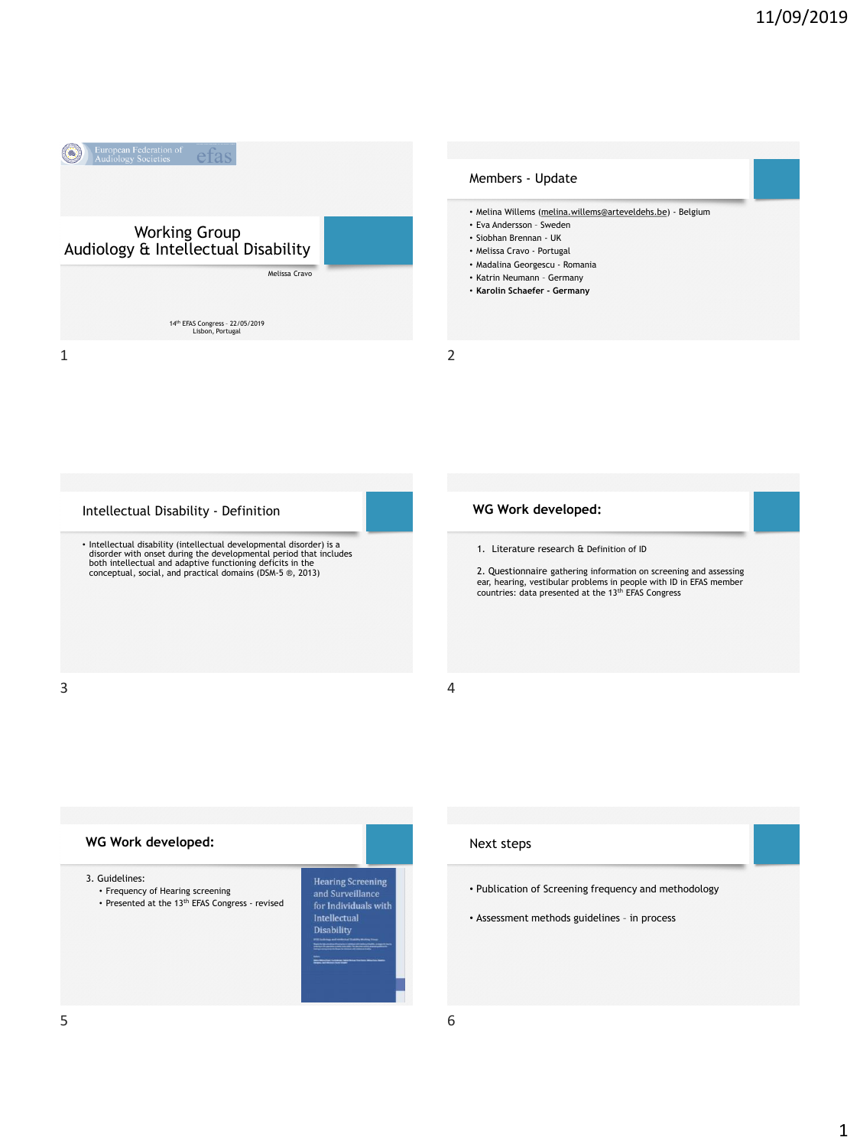